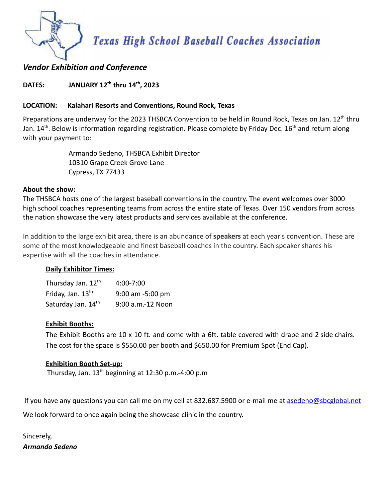

# *Vendor Exhibition and Conference*

## **DATES: JANUARY 12th thru 14th , 2023**

## **LOCATION: Kalahari Resorts and Conventions, Round Rock, Texas**

Preparations are underway for the 2023 THSBCA Convention to be held in Round Rock, Texas on Jan. 12<sup>th</sup> thru Jan. 14<sup>th</sup>. Below is information regarding registration. Please complete by Friday Dec. 16<sup>th</sup> and return along with your payment to:

> Armando Sedeno, THSBCA Exhibit Director 10310 Grape Creek Grove Lane Cypress, TX 77433

### **About the show:**

The THSBCA hosts one of the largest baseball conventions in the country. The event welcomes over 3000 high school coaches representing teams from across the entire state of Texas. Over 150 vendors from across the nation showcase the very latest products and services available at the conference.

In addition to the large exhibit area, there is an abundance of **speakers** at each year's convention. These are some of the most knowledgeable and finest baseball coaches in the country. Each speaker shares his expertise with all the coaches in attendance.

### **Daily Exhibitor Times:**

| Thursday Jan. 12th            | 4:00-7:00         |
|-------------------------------|-------------------|
| Friday, Jan. 13 <sup>th</sup> | 9:00 am -5:00 pm  |
| Saturday Jan. 14th            | 9:00 a.m.-12 Noon |

### **Exhibit Booths:**

The Exhibit Booths are 10 x 10 ft. and come with a 6ft. table covered with drape and 2 side chairs. The cost for the space is \$550.00 per booth and \$650.00 for Premium Spot (End Cap).

### **Exhibition Booth Set-up:**

Thursday, Jan.  $13<sup>th</sup>$  beginning at 12:30 p.m.-4:00 p.m

If you have any questions you can call me on my cell at 832.687.5900 or e-mail me at [asedeno@sbcglobal.net](mailto:asedeno@sbcglobal.net) We look forward to once again being the showcase clinic in the country.

Sincerely, *Armando Sedeno*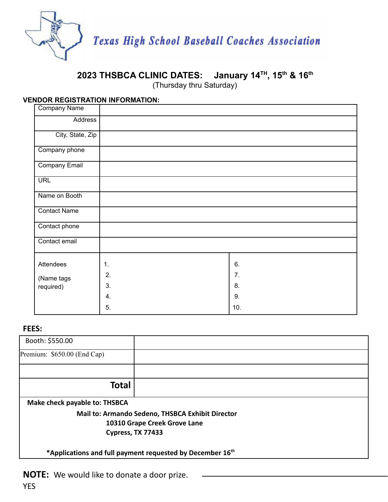

#### **2023 THSBCA CLINIC DATES: January 14 TH , 15 th & 16 th**

(Thursday thru Saturday)

## **VENDOR REGISTRATION INFORMATION:**

| Company Name         |    |     |
|----------------------|----|-----|
| Address              |    |     |
| City, State, Zip     |    |     |
| Company phone        |    |     |
| <b>Company Email</b> |    |     |
| <b>URL</b>           |    |     |
| Name on Booth        |    |     |
| <b>Contact Name</b>  |    |     |
| Contact phone        |    |     |
| Contact email        |    |     |
| Attendees            | 1. | 6.  |
| (Name tags           | 2. | 7.  |
| required)            | 3. | 8.  |
|                      | 4. | 9.  |
|                      | 5. | 10. |

## **FEES:**

| Booth: \$550.00               |                                                                       |
|-------------------------------|-----------------------------------------------------------------------|
| Premium: \$650.00 (End Cap)   |                                                                       |
|                               |                                                                       |
| <b>Total</b>                  |                                                                       |
| Make check payable to: THSBCA |                                                                       |
|                               | Mail to: Armando Sedeno, THSBCA Exhibit Director                      |
|                               | 10310 Grape Creek Grove Lane                                          |
| Cypress, TX 77433             |                                                                       |
|                               | *Applications and full payment requested by December 16 <sup>th</sup> |

**NOTE:** We would like to donate a door prize.